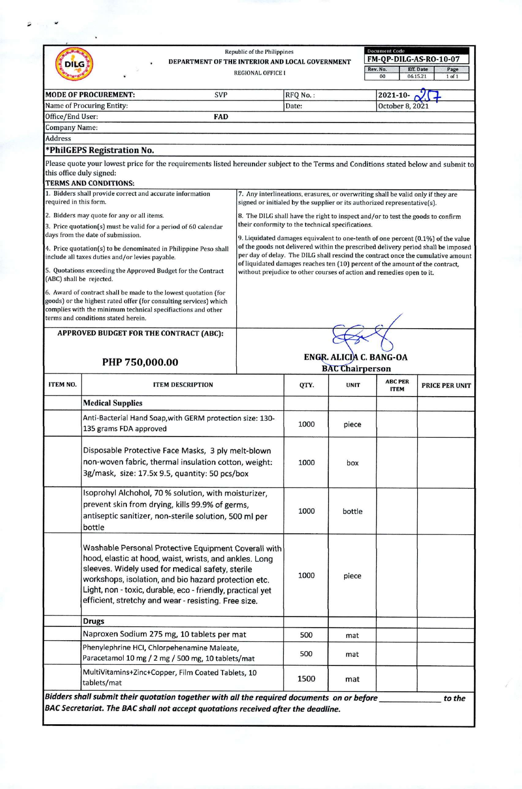| <b>DILG</b>                                                                                                                                                                                                                                                                                                                                                                                                                                                                                                                                                                                                                                                                                     |                                                                                                                                                                                 |                         | Republic of the Philippines<br>DEPARTMENT OF THE INTERIOR AND LOCAL GOVERNMENT<br><b>REGIONAL OFFICE I</b>                                                                                                                                                                                                                                 |          |             | <b>Document Code</b><br>FM-QP-DILG-AS-RO-10-07<br>Rev. No.<br>Eff. Date<br>Page<br>00<br>06.15.21<br>$1$ of $1$ |                       |  |
|-------------------------------------------------------------------------------------------------------------------------------------------------------------------------------------------------------------------------------------------------------------------------------------------------------------------------------------------------------------------------------------------------------------------------------------------------------------------------------------------------------------------------------------------------------------------------------------------------------------------------------------------------------------------------------------------------|---------------------------------------------------------------------------------------------------------------------------------------------------------------------------------|-------------------------|--------------------------------------------------------------------------------------------------------------------------------------------------------------------------------------------------------------------------------------------------------------------------------------------------------------------------------------------|----------|-------------|-----------------------------------------------------------------------------------------------------------------|-----------------------|--|
|                                                                                                                                                                                                                                                                                                                                                                                                                                                                                                                                                                                                                                                                                                 | MODE OF PROCUREMENT:                                                                                                                                                            | <b>SVP</b>              |                                                                                                                                                                                                                                                                                                                                            | RFQ No.: |             | 2021-10-                                                                                                        |                       |  |
|                                                                                                                                                                                                                                                                                                                                                                                                                                                                                                                                                                                                                                                                                                 | Name of Procuring Entity:                                                                                                                                                       |                         |                                                                                                                                                                                                                                                                                                                                            | Date:    |             | October 8, 2021                                                                                                 |                       |  |
| Office/End User:                                                                                                                                                                                                                                                                                                                                                                                                                                                                                                                                                                                                                                                                                |                                                                                                                                                                                 | <b>FAD</b>              |                                                                                                                                                                                                                                                                                                                                            |          |             |                                                                                                                 |                       |  |
| Company Name:                                                                                                                                                                                                                                                                                                                                                                                                                                                                                                                                                                                                                                                                                   |                                                                                                                                                                                 |                         |                                                                                                                                                                                                                                                                                                                                            |          |             |                                                                                                                 |                       |  |
| <b>Address</b>                                                                                                                                                                                                                                                                                                                                                                                                                                                                                                                                                                                                                                                                                  |                                                                                                                                                                                 |                         |                                                                                                                                                                                                                                                                                                                                            |          |             |                                                                                                                 |                       |  |
|                                                                                                                                                                                                                                                                                                                                                                                                                                                                                                                                                                                                                                                                                                 | *PhilGEPS Registration No.                                                                                                                                                      |                         |                                                                                                                                                                                                                                                                                                                                            |          |             |                                                                                                                 |                       |  |
| this office duly signed:                                                                                                                                                                                                                                                                                                                                                                                                                                                                                                                                                                                                                                                                        | Please quote your lowest price for the requirements listed hereunder subject to the Terms and Conditions stated below and submit to<br><b>TERMS AND CONDITIONS:</b>             |                         |                                                                                                                                                                                                                                                                                                                                            |          |             |                                                                                                                 |                       |  |
|                                                                                                                                                                                                                                                                                                                                                                                                                                                                                                                                                                                                                                                                                                 | 1. Bidders shall provide correct and accurate information                                                                                                                       |                         |                                                                                                                                                                                                                                                                                                                                            |          |             | 7. Any interlineations, erasures, or overwriting shall be valid only if they are                                |                       |  |
| required in this form.                                                                                                                                                                                                                                                                                                                                                                                                                                                                                                                                                                                                                                                                          |                                                                                                                                                                                 |                         |                                                                                                                                                                                                                                                                                                                                            |          |             | signed or initialed by the supplier or its authorized representative(s).                                        |                       |  |
|                                                                                                                                                                                                                                                                                                                                                                                                                                                                                                                                                                                                                                                                                                 | 2. Bidders may quote for any or all items.                                                                                                                                      |                         |                                                                                                                                                                                                                                                                                                                                            |          |             | 8. The DILG shall have the right to inspect and/or to test the goods to confirm                                 |                       |  |
|                                                                                                                                                                                                                                                                                                                                                                                                                                                                                                                                                                                                                                                                                                 | 3. Price quotation(s) must be valid for a period of 60 calendar<br>days from the date of submission.                                                                            |                         | their conformity to the technical specifications.                                                                                                                                                                                                                                                                                          |          |             |                                                                                                                 |                       |  |
|                                                                                                                                                                                                                                                                                                                                                                                                                                                                                                                                                                                                                                                                                                 | 4. Price quotation(s) to be denominated in Philippine Peso shall<br>include all taxes duties and/or levies payable.                                                             |                         | 9. Liquidated damages equivalent to one-tenth of one percent (0.1%) of the value<br>of the goods not delivered within the prescribed delivery period shall be imposed<br>per day of delay. The DILG shall rescind the contract once the cumulative amount<br>of liquidated damages reaches ten (10) percent of the amount of the contract, |          |             |                                                                                                                 |                       |  |
| (ABC) shall be rejected.                                                                                                                                                                                                                                                                                                                                                                                                                                                                                                                                                                                                                                                                        | 5. Quotations exceeding the Approved Budget for the Contract                                                                                                                    |                         | without prejudice to other courses of action and remedies open to it.                                                                                                                                                                                                                                                                      |          |             |                                                                                                                 |                       |  |
|                                                                                                                                                                                                                                                                                                                                                                                                                                                                                                                                                                                                                                                                                                 | 6. Award of contract shall be made to the lowest quotation (for<br>goods) or the highest rated offer (for consulting services) which                                            |                         |                                                                                                                                                                                                                                                                                                                                            |          |             |                                                                                                                 |                       |  |
|                                                                                                                                                                                                                                                                                                                                                                                                                                                                                                                                                                                                                                                                                                 | complies with the minimum technical specifiactions and other<br>terms and conditions stated herein.                                                                             |                         |                                                                                                                                                                                                                                                                                                                                            |          |             |                                                                                                                 |                       |  |
|                                                                                                                                                                                                                                                                                                                                                                                                                                                                                                                                                                                                                                                                                                 | APPROVED BUDGET FOR THE CONTRACT (ABC):                                                                                                                                         |                         |                                                                                                                                                                                                                                                                                                                                            |          |             |                                                                                                                 |                       |  |
| PHP 750,000.00                                                                                                                                                                                                                                                                                                                                                                                                                                                                                                                                                                                                                                                                                  |                                                                                                                                                                                 |                         | ENGR. ALICIA C. BANG-OA<br><b>BAC Chairperson</b>                                                                                                                                                                                                                                                                                          |          |             |                                                                                                                 |                       |  |
| ITEM NO.                                                                                                                                                                                                                                                                                                                                                                                                                                                                                                                                                                                                                                                                                        |                                                                                                                                                                                 | <b>ITEM DESCRIPTION</b> |                                                                                                                                                                                                                                                                                                                                            | QTY.     | <b>UNIT</b> | <b>ABC PER</b><br><b>ITEM</b>                                                                                   | <b>PRICE PER UNIT</b> |  |
|                                                                                                                                                                                                                                                                                                                                                                                                                                                                                                                                                                                                                                                                                                 | <b>Medical Supplies</b>                                                                                                                                                         |                         |                                                                                                                                                                                                                                                                                                                                            |          |             |                                                                                                                 |                       |  |
|                                                                                                                                                                                                                                                                                                                                                                                                                                                                                                                                                                                                                                                                                                 | Anti-Bacterial Hand Soap, with GERM protection size: 130-<br>135 grams FDA approved                                                                                             |                         |                                                                                                                                                                                                                                                                                                                                            | 1000     | piece       |                                                                                                                 |                       |  |
| Disposable Protective Face Masks, 3 ply melt-blown<br>non-woven fabric, thermal insulation cotton, weight:<br>3g/mask, size: 17.5x 9.5, quantity: 50 pcs/box<br>Isoprohyl Alchohol, 70 % solution, with moisturizer,<br>prevent skin from drying, kills 99.9% of germs,<br>antiseptic sanitizer, non-sterile solution, 500 ml per<br>bottle<br>Washable Personal Protective Equipment Coverall with<br>hood, elastic at hood, waist, wrists, and ankles. Long<br>sleeves. Widely used for medical safety, sterile<br>workshops, isolation, and bio hazard protection etc.<br>Light, non - toxic, durable, eco - friendly, practical yet<br>efficient, stretchy and wear - resisting. Free size. |                                                                                                                                                                                 |                         |                                                                                                                                                                                                                                                                                                                                            | 1000     | box         |                                                                                                                 |                       |  |
|                                                                                                                                                                                                                                                                                                                                                                                                                                                                                                                                                                                                                                                                                                 |                                                                                                                                                                                 |                         |                                                                                                                                                                                                                                                                                                                                            | 1000     | bottle      |                                                                                                                 |                       |  |
|                                                                                                                                                                                                                                                                                                                                                                                                                                                                                                                                                                                                                                                                                                 |                                                                                                                                                                                 |                         |                                                                                                                                                                                                                                                                                                                                            | 1000     | piece       |                                                                                                                 |                       |  |
|                                                                                                                                                                                                                                                                                                                                                                                                                                                                                                                                                                                                                                                                                                 | <b>Drugs</b>                                                                                                                                                                    |                         |                                                                                                                                                                                                                                                                                                                                            |          |             |                                                                                                                 |                       |  |
|                                                                                                                                                                                                                                                                                                                                                                                                                                                                                                                                                                                                                                                                                                 | Naproxen Sodium 275 mg, 10 tablets per mat                                                                                                                                      |                         |                                                                                                                                                                                                                                                                                                                                            | 500      | mat         |                                                                                                                 |                       |  |
|                                                                                                                                                                                                                                                                                                                                                                                                                                                                                                                                                                                                                                                                                                 | Phenylephrine HCI, Chlorpehenamine Maleate,<br>Paracetamol 10 mg / 2 mg / 500 mg, 10 tablets/mat                                                                                |                         |                                                                                                                                                                                                                                                                                                                                            | 500      | mat         |                                                                                                                 |                       |  |
|                                                                                                                                                                                                                                                                                                                                                                                                                                                                                                                                                                                                                                                                                                 | MultiVitamins+Zinc+Copper, Film Coated Tablets, 10<br>tablets/mat                                                                                                               |                         |                                                                                                                                                                                                                                                                                                                                            | 1500     | mat         |                                                                                                                 |                       |  |
|                                                                                                                                                                                                                                                                                                                                                                                                                                                                                                                                                                                                                                                                                                 | Bidders shall submit their quotation together with all the required documents on or before<br>BAC Secretariat. The BAC shall not accept quotations received after the deadline. |                         |                                                                                                                                                                                                                                                                                                                                            |          |             |                                                                                                                 | to the                |  |

 $\hat{\mathcal{Q}}$